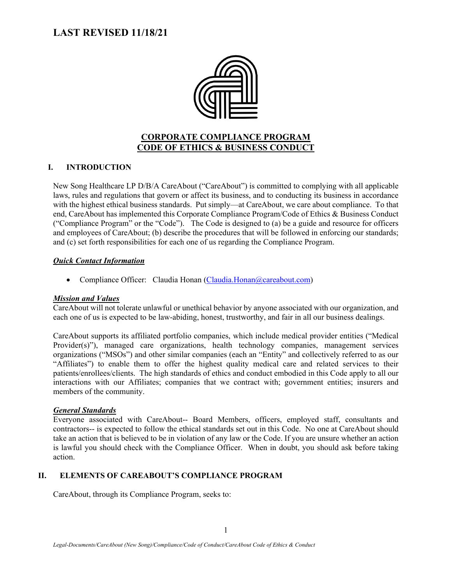# **LAST REVISED 11/18/21**



# **CORPORATE COMPLIANCE PROGRAM CODE OF ETHICS & BUSINESS CONDUCT**

# **I. INTRODUCTION**

New Song Healthcare LP D/B/A CareAbout ("CareAbout") is committed to complying with all applicable laws, rules and regulations that govern or affect its business, and to conducting its business in accordance with the highest ethical business standards. Put simply—at CareAbout, we care about compliance. To that end, CareAbout has implemented this Corporate Compliance Program/Code of Ethics & Business Conduct ("Compliance Program" or the "Code"). The Code is designed to (a) be a guide and resource for officers and employees of CareAbout; (b) describe the procedures that will be followed in enforcing our standards; and (c) set forth responsibilities for each one of us regarding the Compliance Program.

### *Quick Contact Information*

• Compliance Officer: Claudia Honan [\(Claudia.Honan@careabout.com\)](mailto:Claudia.Honan@careabout.com)

### *Mission and Values*

CareAbout will not tolerate unlawful or unethical behavior by anyone associated with our organization, and each one of us is expected to be law-abiding, honest, trustworthy, and fair in all our business dealings.

CareAbout supports its affiliated portfolio companies, which include medical provider entities ("Medical Provider(s)"), managed care organizations, health technology companies, management services organizations ("MSOs") and other similar companies (each an "Entity" and collectively referred to as our "Affiliates") to enable them to offer the highest quality medical care and related services to their patients/enrollees/clients. The high standards of ethics and conduct embodied in this Code apply to all our interactions with our Affiliates; companies that we contract with; government entities; insurers and members of the community.

### *General Standards*

Everyone associated with CareAbout-- Board Members, officers, employed staff, consultants and contractors-- is expected to follow the ethical standards set out in this Code. No one at CareAbout should take an action that is believed to be in violation of any law or the Code. If you are unsure whether an action is lawful you should check with the Compliance Officer. When in doubt, you should ask before taking action.

# **II. ELEMENTS OF CAREABOUT'S COMPLIANCE PROGRAM**

CareAbout, through its Compliance Program, seeks to: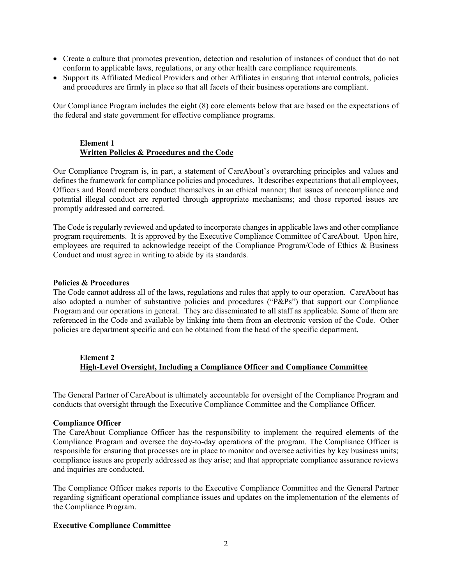- Create a culture that promotes prevention, detection and resolution of instances of conduct that do not conform to applicable laws, regulations, or any other health care compliance requirements.
- Support its Affiliated Medical Providers and other Affiliates in ensuring that internal controls, policies and procedures are firmly in place so that all facets of their business operations are compliant.

Our Compliance Program includes the eight (8) core elements below that are based on the expectations of the federal and state government for effective compliance programs.

#### **Element 1 Written Policies & Procedures and the Code**

Our Compliance Program is, in part, a statement of CareAbout's overarching principles and values and defines the framework for compliance policies and procedures. It describes expectations that all employees, Officers and Board members conduct themselves in an ethical manner; that issues of noncompliance and potential illegal conduct are reported through appropriate mechanisms; and those reported issues are promptly addressed and corrected.

The Code is regularly reviewed and updated to incorporate changes in applicable laws and other compliance program requirements. It is approved by the Executive Compliance Committee of CareAbout. Upon hire, employees are required to acknowledge receipt of the Compliance Program/Code of Ethics & Business Conduct and must agree in writing to abide by its standards.

#### **Policies & Procedures**

The Code cannot address all of the laws, regulations and rules that apply to our operation. CareAbout has also adopted a number of substantive policies and procedures ("P&Ps") that support our Compliance Program and our operations in general. They are disseminated to all staff as applicable. Some of them are referenced in the Code and available by linking into them from an electronic version of the Code. Other policies are department specific and can be obtained from the head of the specific department.

# **Element 2 High-Level Oversight, Including a Compliance Officer and Compliance Committee**

The General Partner of CareAbout is ultimately accountable for oversight of the Compliance Program and conducts that oversight through the Executive Compliance Committee and the Compliance Officer.

#### **Compliance Officer**

The CareAbout Compliance Officer has the responsibility to implement the required elements of the Compliance Program and oversee the day-to-day operations of the program. The Compliance Officer is responsible for ensuring that processes are in place to monitor and oversee activities by key business units; compliance issues are properly addressed as they arise; and that appropriate compliance assurance reviews and inquiries are conducted.

The Compliance Officer makes reports to the Executive Compliance Committee and the General Partner regarding significant operational compliance issues and updates on the implementation of the elements of the Compliance Program.

### **Executive Compliance Committee**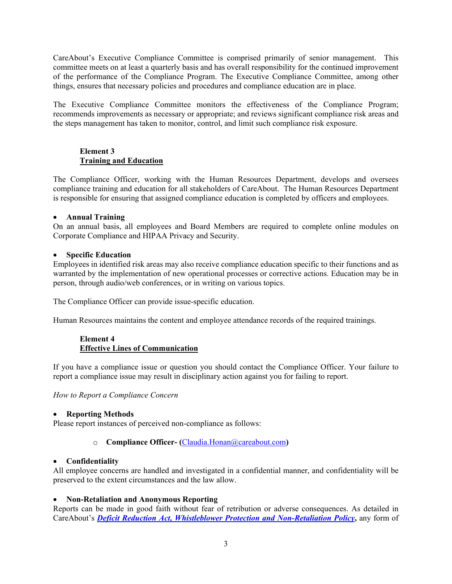CareAbout's Executive Compliance Committee is comprised primarily of senior management. This committee meets on at least a quarterly basis and has overall responsibility for the continued improvement of the performance of the Compliance Program. The Executive Compliance Committee, among other things, ensures that necessary policies and procedures and compliance education are in place.

The Executive Compliance Committee monitors the effectiveness of the Compliance Program; recommends improvements as necessary or appropriate; and reviews significant compliance risk areas and the steps management has taken to monitor, control, and limit such compliance risk exposure.

# **Element 3 Training and Education**

The Compliance Officer, working with the Human Resources Department, develops and oversees compliance training and education for all stakeholders of CareAbout. The Human Resources Department is responsible for ensuring that assigned compliance education is completed by officers and employees.

# • **Annual Training**

On an annual basis, all employees and Board Members are required to complete online modules on Corporate Compliance and HIPAA Privacy and Security.

# • **Specific Education**

Employees in identified risk areas may also receive compliance education specific to their functions and as warranted by the implementation of new operational processes or corrective actions. Education may be in person, through audio/web conferences, or in writing on various topics.

The Compliance Officer can provide issue-specific education.

Human Resources maintains the content and employee attendance records of the required trainings.

# **Element 4 Effective Lines of Communication**

If you have a compliance issue or question you should contact the Compliance Officer. Your failure to report a compliance issue may result in disciplinary action against you for failing to report.

*How to Report a Compliance Concern*

### • **Reporting Methods**

Please report instances of perceived non-compliance as follows:

### o **Compliance Officer- (**[Claudia.Honan@careabout.com](mailto:Claudia.Honan@careabout.com)**)**

### • **Confidentiality**

All employee concerns are handled and investigated in a confidential manner, and confidentiality will be preserved to the extent circumstances and the law allow.

### • **Non-Retaliation and Anonymous Reporting**

Reports can be made in good faith without fear of retribution or adverse consequences. As detailed in CareAbout's *[Deficit Reduction Act, Whistleblower Protection and Non-Retaliation Policy](https://drive.google.com/open?id=1nUCOfgCVZV5wRZQgcLo5U5Co_QHJWNDb)***,** any form of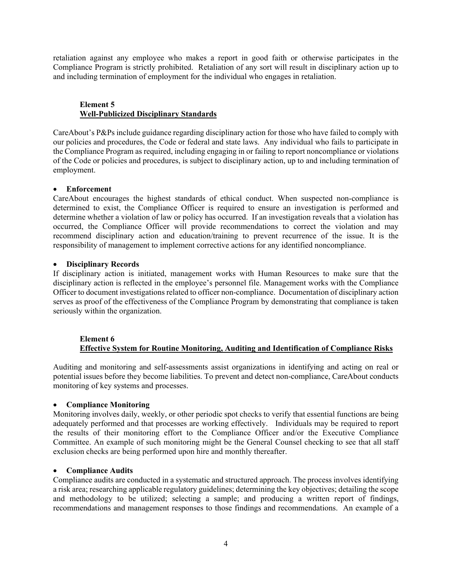retaliation against any employee who makes a report in good faith or otherwise participates in the Compliance Program is strictly prohibited. Retaliation of any sort will result in disciplinary action up to and including termination of employment for the individual who engages in retaliation.

# **Element 5 Well-Publicized Disciplinary Standards**

CareAbout's P&Ps include guidance regarding disciplinary action for those who have failed to comply with our policies and procedures, the Code or federal and state laws. Any individual who fails to participate in the Compliance Program as required, including engaging in or failing to report noncompliance or violations of the Code or policies and procedures, is subject to disciplinary action, up to and including termination of employment.

#### • **Enforcement**

CareAbout encourages the highest standards of ethical conduct. When suspected non-compliance is determined to exist, the Compliance Officer is required to ensure an investigation is performed and determine whether a violation of law or policy has occurred. If an investigation reveals that a violation has occurred, the Compliance Officer will provide recommendations to correct the violation and may recommend disciplinary action and education/training to prevent recurrence of the issue. It is the responsibility of management to implement corrective actions for any identified noncompliance.

#### • **Disciplinary Records**

If disciplinary action is initiated, management works with Human Resources to make sure that the disciplinary action is reflected in the employee's personnel file. Management works with the Compliance Officer to document investigations related to officer non-compliance. Documentation of disciplinary action serves as proof of the effectiveness of the Compliance Program by demonstrating that compliance is taken seriously within the organization.

# **Element 6 Effective System for Routine Monitoring, Auditing and Identification of Compliance Risks**

Auditing and monitoring and self-assessments assist organizations in identifying and acting on real or potential issues before they become liabilities. To prevent and detect non-compliance, CareAbout conducts monitoring of key systems and processes.

### • **Compliance Monitoring**

Monitoring involves daily, weekly, or other periodic spot checks to verify that essential functions are being adequately performed and that processes are working effectively. Individuals may be required to report the results of their monitoring effort to the Compliance Officer and/or the Executive Compliance Committee. An example of such monitoring might be the General Counsel checking to see that all staff exclusion checks are being performed upon hire and monthly thereafter.

#### • **Compliance Audits**

Compliance audits are conducted in a systematic and structured approach. The process involves identifying a risk area; researching applicable regulatory guidelines; determining the key objectives; detailing the scope and methodology to be utilized; selecting a sample; and producing a written report of findings, recommendations and management responses to those findings and recommendations. An example of a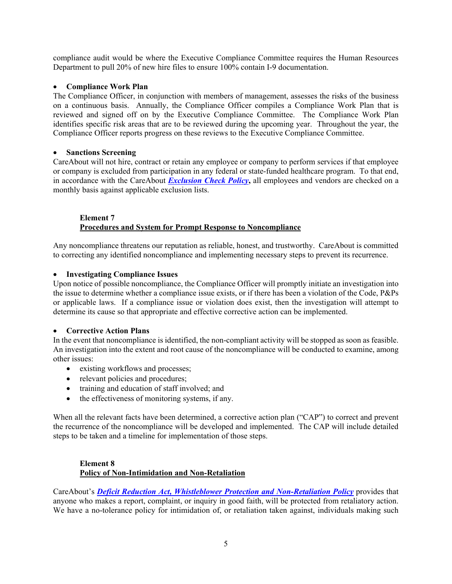compliance audit would be where the Executive Compliance Committee requires the Human Resources Department to pull 20% of new hire files to ensure 100% contain I-9 documentation.

# • **Compliance Work Plan**

The Compliance Officer, in conjunction with members of management, assesses the risks of the business on a continuous basis. Annually, the Compliance Officer compiles a Compliance Work Plan that is reviewed and signed off on by the Executive Compliance Committee. The Compliance Work Plan identifies specific risk areas that are to be reviewed during the upcoming year. Throughout the year, the Compliance Officer reports progress on these reviews to the Executive Compliance Committee.

# • **Sanctions Screening**

CareAbout will not hire, contract or retain any employee or company to perform services if that employee or company is excluded from participation in any federal or state-funded healthcare program. To that end, in accordance with the CareAbout *[Exclusion Check Policy](https://drive.google.com/open?id=1ra_b_uk2brO3Gc1G4czhR-4ESZtPZB4l)***,** all employees and vendors are checked on a monthly basis against applicable exclusion lists.

# **Element 7 Procedures and System for Prompt Response to Noncompliance**

Any noncompliance threatens our reputation as reliable, honest, and trustworthy. CareAbout is committed to correcting any identified noncompliance and implementing necessary steps to prevent its recurrence.

# • **Investigating Compliance Issues**

Upon notice of possible noncompliance, the Compliance Officer will promptly initiate an investigation into the issue to determine whether a compliance issue exists, or if there has been a violation of the Code, P&Ps or applicable laws. If a compliance issue or violation does exist, then the investigation will attempt to determine its cause so that appropriate and effective corrective action can be implemented.

# • **Corrective Action Plans**

In the event that noncompliance is identified, the non-compliant activity will be stopped as soon as feasible. An investigation into the extent and root cause of the noncompliance will be conducted to examine, among other issues:

- existing workflows and processes;
- relevant policies and procedures;
- training and education of staff involved; and
- the effectiveness of monitoring systems, if any.

When all the relevant facts have been determined, a corrective action plan ("CAP") to correct and prevent the recurrence of the noncompliance will be developed and implemented. The CAP will include detailed steps to be taken and a timeline for implementation of those steps.

# **Element 8 Policy of Non-Intimidation and Non-Retaliation**

CareAbout's *[Deficit Reduction Act, Whistleblower Protection and Non-Retaliation Policy](https://drive.google.com/open?id=1nUCOfgCVZV5wRZQgcLo5U5Co_QHJWNDb)* provides that anyone who makes a report, complaint, or inquiry in good faith, will be protected from retaliatory action. We have a no-tolerance policy for intimidation of, or retaliation taken against, individuals making such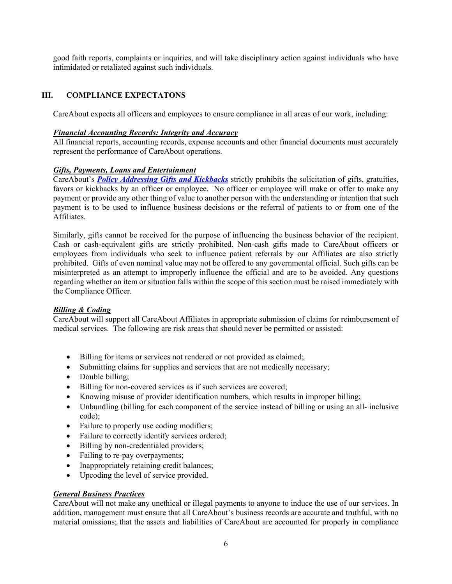good faith reports, complaints or inquiries, and will take disciplinary action against individuals who have intimidated or retaliated against such individuals.

# **III. COMPLIANCE EXPECTATONS**

CareAbout expects all officers and employees to ensure compliance in all areas of our work, including:

### *Financial Accounting Records: Integrity and Accuracy*

All financial reports, accounting records, expense accounts and other financial documents must accurately represent the performance of CareAbout operations.

### *Gifts, Payments, Loans and Entertainment*

CareAbout's *Policy Addressing Gifts and Kickbacks* strictly prohibits the solicitation of gifts, gratuities, favors or kickbacks by an officer or employee. No officer or employee will make or offer to make any payment or provide any other thing of value to another person with the understanding or intention that such payment is to be used to influence business decisions or the referral of patients to or from one of the Affiliates.

Similarly, gifts cannot be received for the purpose of influencing the business behavior of the recipient. Cash or cash-equivalent gifts are strictly prohibited. Non-cash gifts made to CareAbout officers or employees from individuals who seek to influence patient referrals by our Affiliates are also strictly prohibited. Gifts of even nominal value may not be offered to any governmental official. Such gifts can be misinterpreted as an attempt to improperly influence the official and are to be avoided. Any questions regarding whether an item or situation falls within the scope of this section must be raised immediately with the Compliance Officer.

### *Billing & Coding*

CareAbout will support all CareAbout Affiliates in appropriate submission of claims for reimbursement of medical services. The following are risk areas that should never be permitted or assisted:

- Billing for items or services not rendered or not provided as claimed;
- Submitting claims for supplies and services that are not medically necessary;
- Double billing;
- Billing for non-covered services as if such services are covered;
- Knowing misuse of provider identification numbers, which results in improper billing;
- Unbundling (billing for each component of the service instead of billing or using an all- inclusive code);
- Failure to properly use coding modifiers;
- Failure to correctly identify services ordered;
- Billing by non-credentialed providers;
- Failing to re-pay overpayments;
- Inappropriately retaining credit balances;
- Upcoding the level of service provided.

### *General Business Practices*

CareAbout will not make any unethical or illegal payments to anyone to induce the use of our services. In addition, management must ensure that all CareAbout's business records are accurate and truthful, with no material omissions; that the assets and liabilities of CareAbout are accounted for properly in compliance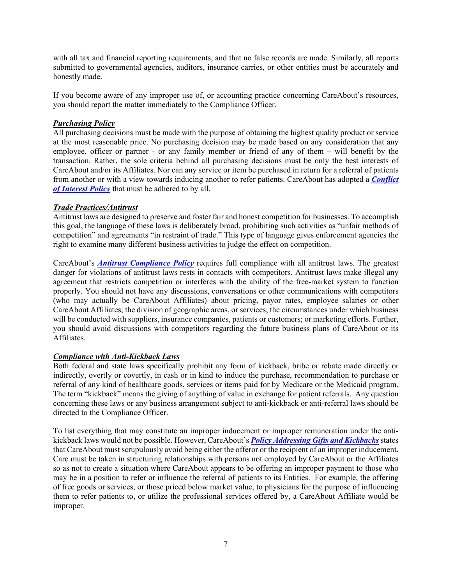with all tax and financial reporting requirements, and that no false records are made. Similarly, all reports submitted to governmental agencies, auditors, insurance carries, or other entities must be accurately and honestly made.

If you become aware of any improper use of, or accounting practice concerning CareAbout's resources, you should report the matter immediately to the Compliance Officer.

# *Purchasing Policy*

All purchasing decisions must be made with the purpose of obtaining the highest quality product or service at the most reasonable price. No purchasing decision may be made based on any consideration that any employee, officer or partner - or any family member or friend of any of them – will benefit by the transaction. Rather, the sole criteria behind all purchasing decisions must be only the best interests of CareAbout and/or its Affiliates. Nor can any service or item be purchased in return for a referral of patients from another or with a view towards inducing another to refer patients. CareAbout has adopted a *Conflict of Interest Policy* that must be adhered to by all.

# *Trade Practices/Antitrust*

Antitrust laws are designed to preserve and foster fair and honest competition for businesses. To accomplish this goal, the language of these laws is deliberately broad, prohibiting such activities as "unfair methods of competition" and agreements "in restraint of trade." This type of language gives enforcement agencies the right to examine many different business activities to judge the effect on competition.

CareAbout's *Antitrust Compliance Policy* requires full compliance with all antitrust laws. The greatest danger for violations of antitrust laws rests in contacts with competitors. Antitrust laws make illegal any agreement that restricts competition or interferes with the ability of the free-market system to function properly. You should not have any discussions, conversations or other communications with competitors (who may actually be CareAbout Affiliates) about pricing, payor rates, employee salaries or other CareAbout Affiliates; the division of geographic areas, or services; the circumstances under which business will be conducted with suppliers, insurance companies, patients or customers; or marketing efforts. Further, you should avoid discussions with competitors regarding the future business plans of CareAbout or its Affiliates.

### *Compliance with Anti-Kickback Laws*

Both federal and state laws specifically prohibit any form of kickback, bribe or rebate made directly or indirectly, overtly or covertly, in cash or in kind to induce the purchase, recommendation to purchase or referral of any kind of healthcare goods, services or items paid for by Medicare or the Medicaid program. The term "kickback" means the giving of anything of value in exchange for patient referrals. Any question concerning these laws or any business arrangement subject to anti-kickback or anti-referral laws should be directed to the Compliance Officer.

To list everything that may constitute an improper inducement or improper remuneration under the antikickback laws would not be possible. However, CareAbout's *Policy Addressing Gifts and Kickbacks* states that CareAbout must scrupulously avoid being either the offeror or the recipient of an improper inducement. Care must be taken in structuring relationships with persons not employed by CareAbout or the Affiliates so as not to create a situation where CareAbout appears to be offering an improper payment to those who may be in a position to refer or influence the referral of patients to its Entities. For example, the offering of free goods or services, or those priced below market value, to physicians for the purpose of influencing them to refer patients to, or utilize the professional services offered by, a CareAbout Affiliate would be improper.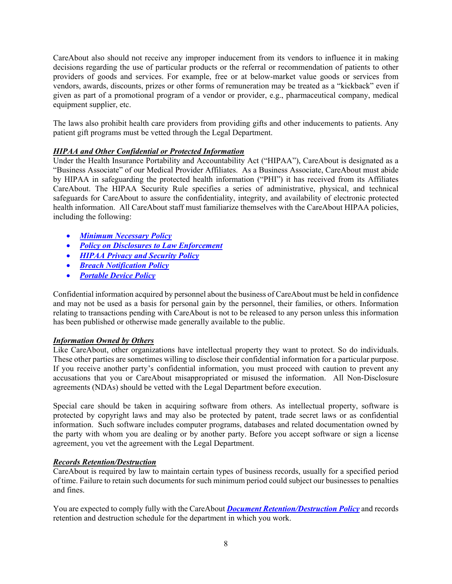CareAbout also should not receive any improper inducement from its vendors to influence it in making decisions regarding the use of particular products or the referral or recommendation of patients to other providers of goods and services. For example, free or at below-market value goods or services from vendors, awards, discounts, prizes or other forms of remuneration may be treated as a "kickback" even if given as part of a promotional program of a vendor or provider, e.g., pharmaceutical company, medical equipment supplier, etc.

The laws also prohibit health care providers from providing gifts and other inducements to patients. Any patient gift programs must be vetted through the Legal Department.

# *HIPAA and Other Confidential or Protected Information*

Under the Health Insurance Portability and Accountability Act ("HIPAA"), CareAbout is designated as a "Business Associate" of our Medical Provider Affiliates. As a Business Associate, CareAbout must abide by HIPAA in safeguarding the protected health information ("PHI") it has received from its Affiliates CareAbout. The HIPAA Security Rule specifies a series of administrative, physical, and technical safeguards for CareAbout to assure the confidentiality, integrity, and availability of electronic protected health information. All CareAbout staff must familiarize themselves with the CareAbout HIPAA policies, including the following:

- *Minimum Necessary Policy*
- *Policy on Disclosures to Law Enforcement*
- *HIPAA Privacy and Security Policy*
- *Breach Notification Policy*
- *Portable Device Policy*

Confidential information acquired by personnel about the business of CareAbout must be held in confidence and may not be used as a basis for personal gain by the personnel, their families, or others. Information relating to transactions pending with CareAbout is not to be released to any person unless this information has been published or otherwise made generally available to the public.

### *Information Owned by Others*

Like CareAbout, other organizations have intellectual property they want to protect. So do individuals. These other parties are sometimes willing to disclose their confidential information for a particular purpose. If you receive another party's confidential information, you must proceed with caution to prevent any accusations that you or CareAbout misappropriated or misused the information. All Non-Disclosure agreements (NDAs) should be vetted with the Legal Department before execution.

Special care should be taken in acquiring software from others. As intellectual property, software is protected by copyright laws and may also be protected by patent, trade secret laws or as confidential information. Such software includes computer programs, databases and related documentation owned by the party with whom you are dealing or by another party. Before you accept software or sign a license agreement, you vet the agreement with the Legal Department.

### *Records Retention/Destruction*

CareAbout is required by law to maintain certain types of business records, usually for a specified period of time. Failure to retain such documents for such minimum period could subject our businesses to penalties and fines.

You are expected to comply fully with the CareAbout *Document [Retention/Destruction Policy](https://drive.google.com/open?id=1zc2E-VB_TVhz9fA5_vjzo8XpabYm3KWa)* and records retention and destruction schedule for the department in which you work.